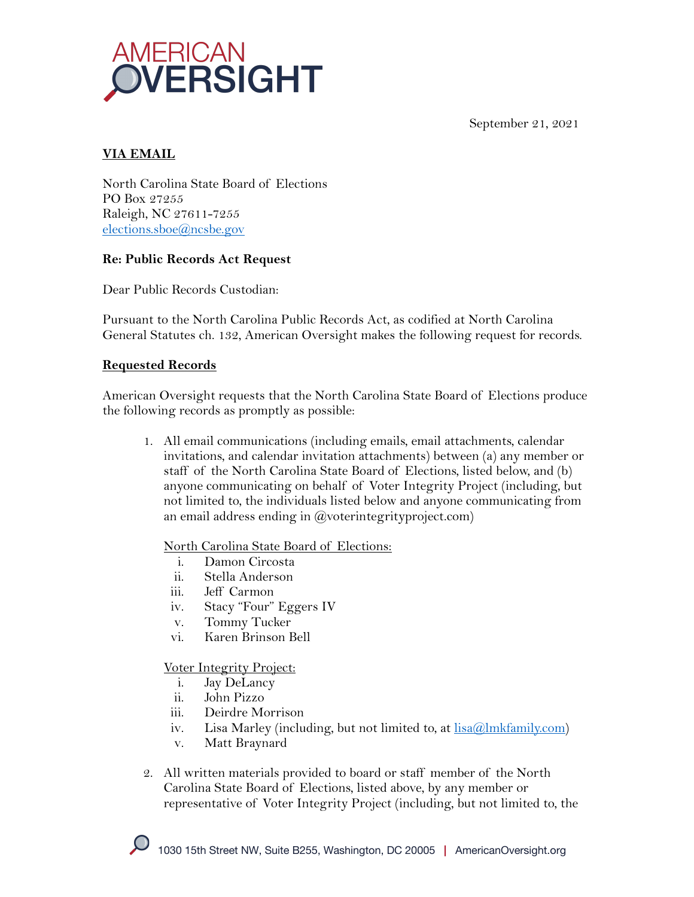September 21, 2021



# **VIA EMAIL**

North Carolina State Board of Elections PO Box 27255 Raleigh, NC 27611-7255 elections.sboe@ncsbe.gov

## **Re: Public Records Act Request**

Dear Public Records Custodian:

Pursuant to the North Carolina Public Records Act, as codified at North Carolina General Statutes ch. 132, American Oversight makes the following request for records.

### **Requested Records**

American Oversight requests that the North Carolina State Board of Elections produce the following records as promptly as possible:

1. All email communications (including emails, email attachments, calendar invitations, and calendar invitation attachments) between (a) any member or staff of the North Carolina State Board of Elections, listed below, and (b) anyone communicating on behalf of Voter Integrity Project (including, but not limited to, the individuals listed below and anyone communicating from an email address ending in @voterintegrityproject.com)

North Carolina State Board of Elections:

- i. Damon Circosta
- ii. Stella Anderson
- iii. Jeff Carmon
- iv. Stacy "Four" Eggers IV
- v. Tommy Tucker
- vi. Karen Brinson Bell

### Voter Integrity Project:

- i. Jay DeLancy
- ii. John Pizzo
- iii. Deirdre Morrison
- iv. Lisa Marley (including, but not limited to, at  $lisa@lmkfamily.com$ )
- v. Matt Braynard
- 2. All written materials provided to board or staff member of the North Carolina State Board of Elections, listed above, by any member or representative of Voter Integrity Project (including, but not limited to, the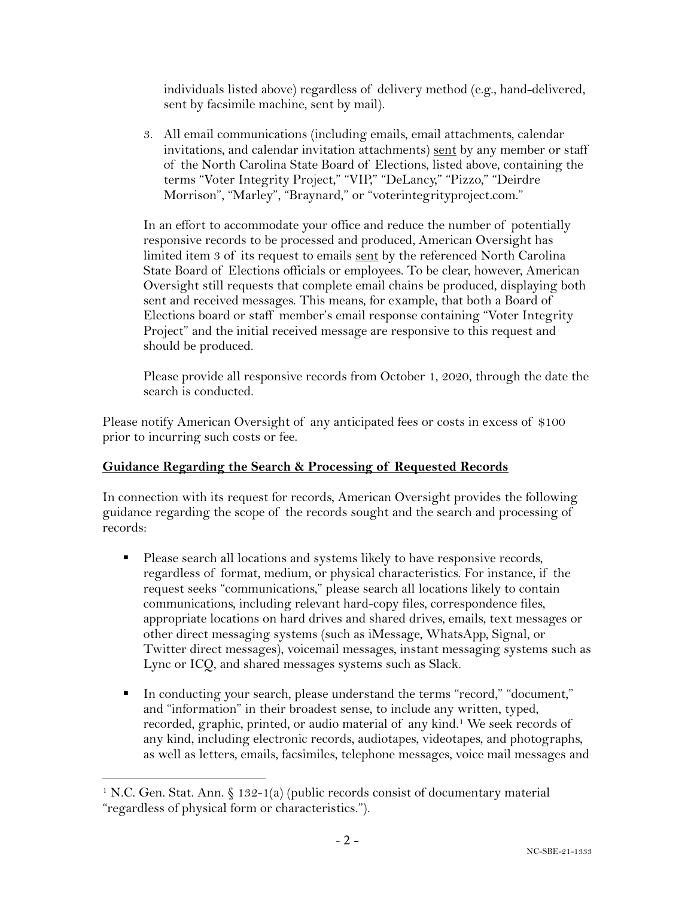individuals listed above) regardless of delivery method (e.g., hand-delivered, sent by facsimile machine, sent by mail).

3. All email communications (including emails, email attachments, calendar invitations, and calendar invitation attachments) sent by any member or staff of the North Carolina State Board of Elections, listed above, containing the terms "Voter Integrity Project," "VIP," "DeLancy," "Pizzo," "Deirdre Morrison", "Marley", "Braynard," or "voterintegrityproject.com."

In an effort to accommodate your office and reduce the number of potentially responsive records to be processed and produced, American Oversight has limited item 3 of its request to emails sent by the referenced North Carolina State Board of Elections officials or employees. To be clear, however, American Oversight still requests that complete email chains be produced, displaying both sent and received messages. This means, for example, that both a Board of Elections board or staff member's email response containing "Voter Integrity Project" and the initial received message are responsive to this request and should be produced.

Please provide all responsive records from October 1, 2020, through the date the search is conducted.

Please notify American Oversight of any anticipated fees or costs in excess of \$100 prior to incurring such costs or fee.

### **Guidance Regarding the Search & Processing of Requested Records**

In connection with its request for records, American Oversight provides the following guidance regarding the scope of the records sought and the search and processing of records:

- Please search all locations and systems likely to have responsive records, regardless of format, medium, or physical characteristics. For instance, if the request seeks "communications," please search all locations likely to contain communications, including relevant hard-copy files, correspondence files, appropriate locations on hard drives and shared drives, emails, text messages or other direct messaging systems (such as iMessage, WhatsApp, Signal, or Twitter direct messages), voicemail messages, instant messaging systems such as Lync or ICQ, and shared messages systems such as Slack.
- § In conducting your search, please understand the terms "record," "document," and "information" in their broadest sense, to include any written, typed, recorded, graphic, printed, or audio material of any kind.<sup>1</sup> We seek records of any kind, including electronic records, audiotapes, videotapes, and photographs, as well as letters, emails, facsimiles, telephone messages, voice mail messages and

<sup>&</sup>lt;sup>1</sup> N.C. Gen. Stat. Ann. § 132-1(a) (public records consist of documentary material "regardless of physical form or characteristics.").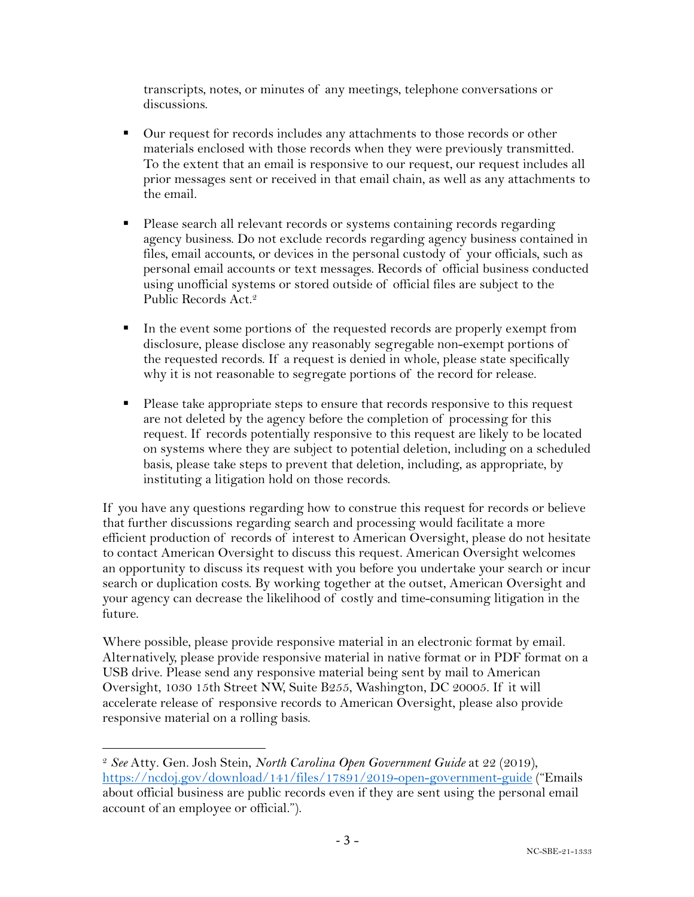transcripts, notes, or minutes of any meetings, telephone conversations or discussions.

- Our request for records includes any attachments to those records or other materials enclosed with those records when they were previously transmitted. To the extent that an email is responsive to our request, our request includes all prior messages sent or received in that email chain, as well as any attachments to the email.
- Please search all relevant records or systems containing records regarding agency business. Do not exclude records regarding agency business contained in files, email accounts, or devices in the personal custody of your officials, such as personal email accounts or text messages. Records of official business conducted using unofficial systems or stored outside of official files are subject to the Public Records Act. 2
- In the event some portions of the requested records are properly exempt from disclosure, please disclose any reasonably segregable non-exempt portions of the requested records. If a request is denied in whole, please state specifically why it is not reasonable to segregate portions of the record for release.
- Please take appropriate steps to ensure that records responsive to this request are not deleted by the agency before the completion of processing for this request. If records potentially responsive to this request are likely to be located on systems where they are subject to potential deletion, including on a scheduled basis, please take steps to prevent that deletion, including, as appropriate, by instituting a litigation hold on those records.

If you have any questions regarding how to construe this request for records or believe that further discussions regarding search and processing would facilitate a more efficient production of records of interest to American Oversight, please do not hesitate to contact American Oversight to discuss this request. American Oversight welcomes an opportunity to discuss its request with you before you undertake your search or incur search or duplication costs. By working together at the outset, American Oversight and your agency can decrease the likelihood of costly and time-consuming litigation in the future.

Where possible, please provide responsive material in an electronic format by email. Alternatively, please provide responsive material in native format or in PDF format on a USB drive. Please send any responsive material being sent by mail to American Oversight, 1030 15th Street NW, Suite B255, Washington, DC 20005. If it will accelerate release of responsive records to American Oversight, please also provide responsive material on a rolling basis.

<sup>2</sup> *See* Atty. Gen. Josh Stein, *North Carolina Open Government Guide* at 22 (2019), https://ncdoj.gov/download/141/files/17891/2019-open-government-guide ("Emails about official business are public records even if they are sent using the personal email account of an employee or official.").